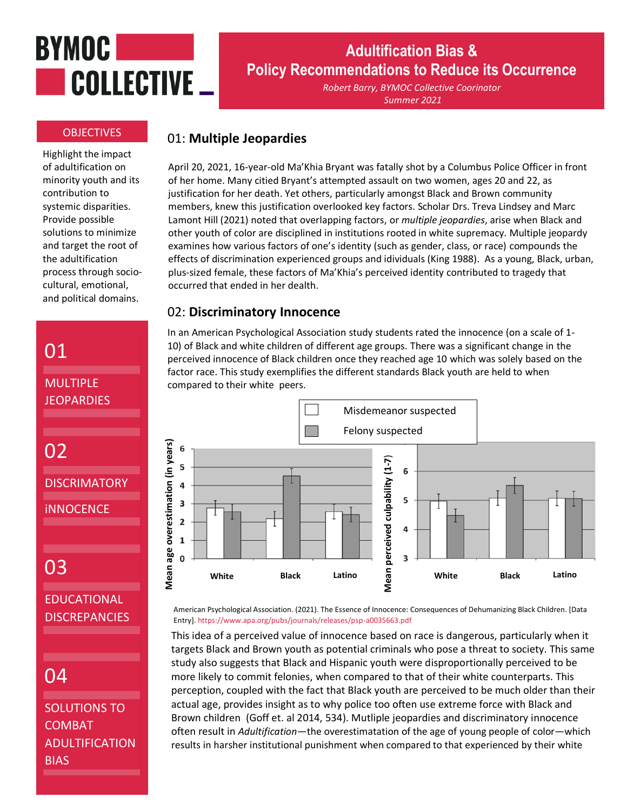# **BYMOC** COLLECTIVE \_

#### **OBJECTIVES**

Highlight the impact of adultification on minority youth and its contribution to systemic disparities. Provide possible solutions to minimize and target the root of the adultification process through sociocultural, emotional, and political domains.

# 01

MULTIPLE **JEOPARDIES** 

```
02
```
**DISCRIMATORY** 

iNNOCENCE

# 03

EDUCATIONAL DISCREPANCIES

# 04

## SOLUTIONS TO COMBAT ADULTIFICATION BIAS

# **Adultification Bias & Policy Recommendations to Reduce its Occurrence**

*Robert Barry, BYMOC Collective Coorinator Summer 2021*

## 01: **Multiple Jeopardies**

April 20, 2021, 16-year-old Ma'Khia Bryant was fatally shot by a Columbus Police Officer in front of her home. Many citied Bryant's attempted assault on two women, ages 20 and 22, as justification for her death. Yet others, particularly amongst Black and Brown community members, knew this justification overlooked key factors. Scholar Drs. Treva Lindsey and Marc Lamont Hill (2021) noted that overlapping factors, or *multiple jeopardies*, arise when Black and other youth of color are disciplined in institutions rooted in white supremacy. Multiple jeopardy examines how various factors of one's identity (such as gender, class, or race) compounds the effects of discrimination experienced groups and idividuals (King 1988). As a young, Black, urban, plus-sized female, these factors of Ma'Khia's perceived identity contributed to tragedy that occurred that ended in her dealth.

## 02: **Discriminatory Innocence**

In an American Psychological Association study students rated the innocence (on a scale of 1- 10) of Black and white children of different age groups. There was a significant change in the perceived innocence of Black children once they reached age 10 which was solely based on the factor race. This study exemplifies the different standards Black youth are held to when compared to their white peers.



American Psychological Association. (2021). The Essence of Innocence: Consequences of Dehumanizing Black Children. [Data s Entry]. https://www.apa.org/pubs/journals/releases/psp-a0035663.pdf p s **o o** ۰J۰<br>lc

This idea of a perceived value of innocence based on race is dangerous, particularly when it e targets Black and Brown youth as potential criminals who pose a threat to society. This same c study also suggests that Black and Hispanic youth were disproportionally perceived to be more likely to commit felonies, when compared to that of their white counterparts. This measured to the compare perception, coupled with the fact that Black youth are perceived to be much older than their t actual age, provides insight as to why police too often use extreme force with Black and d e Brown children (Goff et. al 2014, 534). Mutliple jeopardies and discriminatory innocence d often result in *Adultification*—the overestimatation of the age of young people of color—which results in harsher institutional punishment when compared to that experienced by their white .<br>}  $\overline{a}$ ır  $\overline{ }$